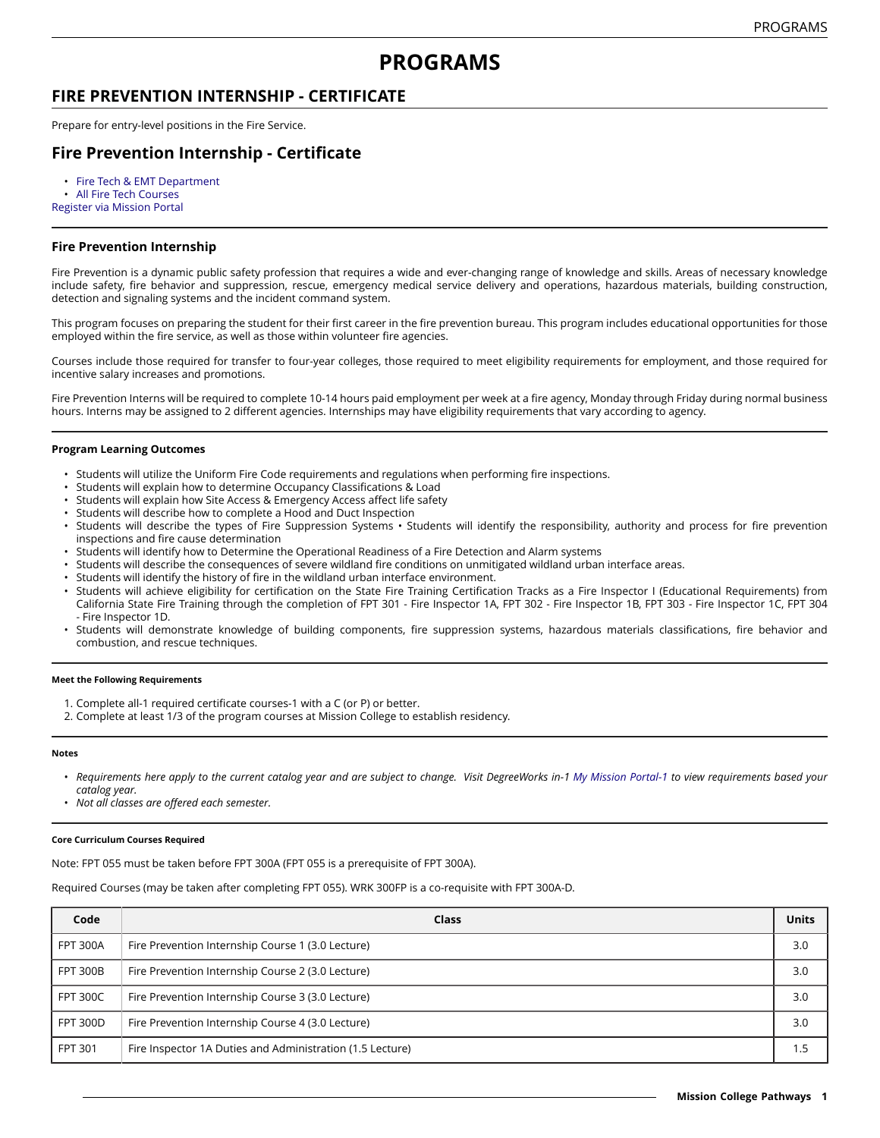# **PROGRAMS**

### **FIRE PREVENTION INTERNSHIP - CERTIFICATE**

Prepare for entry-level positions in the Fire Service.

## **Fire Prevention Internship - Certificate**

• Fire Tech & EMT [Department](https://missioncollege.edu/depts/fire-technology-emt/)

• All Fire Tech [Courses](http://majors.missioncollege.edu/current/courses/fpt.html) [Register via Mission Portal](https://web.wvm.edu/)

### **Fire Prevention Internship**

Fire Prevention is a dynamic public safety profession that requires a wide and ever-changing range of knowledge and skills. Areas of necessary knowledge include safety, fire behavior and suppression, rescue, emergency medical service delivery and operations, hazardous materials, building construction, detection and signaling systems and the incident command system.

This program focuses on preparing the student for their first career in the fire prevention bureau. This program includes educational opportunities for those employed within the fire service, as well as those within volunteer fire agencies.

Courses include those required for transfer to four-year colleges, those required to meet eligibility requirements for employment, and those required for incentive salary increases and promotions.

Fire Prevention Interns will be required to complete 10-14 hours paid employment per week at a fire agency, Monday through Friday during normal business hours. Interns may be assigned to 2 different agencies. Internships may have eligibility requirements that vary according to agency.

#### **Program Learning Outcomes**

- Students will utilize the Uniform Fire Code requirements and regulations when performing fire inspections.
- Students will explain how to determine Occupancy Classifications & Load
- Students will explain how Site Access & Emergency Access affect life safety
- Students will describe how to complete a Hood and Duct Inspection
- Students will describe the types of Fire Suppression Systems Students will identify the responsibility, authority and process for fire prevention inspections and fire cause determination
- Students will identify how to Determine the Operational Readiness of a Fire Detection and Alarm systems
- Students will describe the consequences of severe wildland fire conditions on unmitigated wildland urban interface areas.
- Students will identify the history of fire in the wildland urban interface environment.
- Students will achieve eligibility for certification on the State Fire Training Certification Tracks as a Fire Inspector I (Educational Requirements) from California State Fire Training through the completion of FPT 301 - Fire Inspector 1A, FPT 302 - Fire Inspector 1B, FPT 303 - Fire Inspector 1C, FPT 304 - Fire Inspector 1D.
- Students will demonstrate knowledge of building components, fire suppression systems, hazardous materials classifications, fire behavior and combustion, and rescue techniques.

#### **Meet the Following Requirements**

- 1. Complete all-1 required certificate courses-1 with a C (or P) or better.
- 2. Complete at least 1/3 of the program courses at Mission College to establish residency.

#### **Notes**

- Requirements here apply to the current catalog year and are subject to change. Visit DegreeWorks in-1 [My Mission Portal-1](https://web.wvm.edu/#/) to view requirements based your *catalog year.*
- *Not all classes are offered each semester.*

#### **Core Curriculum Courses Required**

Note: FPT 055 must be taken before FPT 300A (FPT 055 is a prerequisite of FPT 300A).

Required Courses (may be taken after completing FPT 055). WRK 300FP is a co-requisite with FPT 300A-D.

| Code            | Class                                                     | <b>Units</b> |
|-----------------|-----------------------------------------------------------|--------------|
| <b>FPT 300A</b> | Fire Prevention Internship Course 1 (3.0 Lecture)         | 3.0          |
| <b>FPT 300B</b> | Fire Prevention Internship Course 2 (3.0 Lecture)         | 3.0          |
| <b>FPT 300C</b> | Fire Prevention Internship Course 3 (3.0 Lecture)         | 3.0          |
| <b>FPT 300D</b> | Fire Prevention Internship Course 4 (3.0 Lecture)         | 3.0          |
| <b>FPT 301</b>  | Fire Inspector 1A Duties and Administration (1.5 Lecture) | .5           |